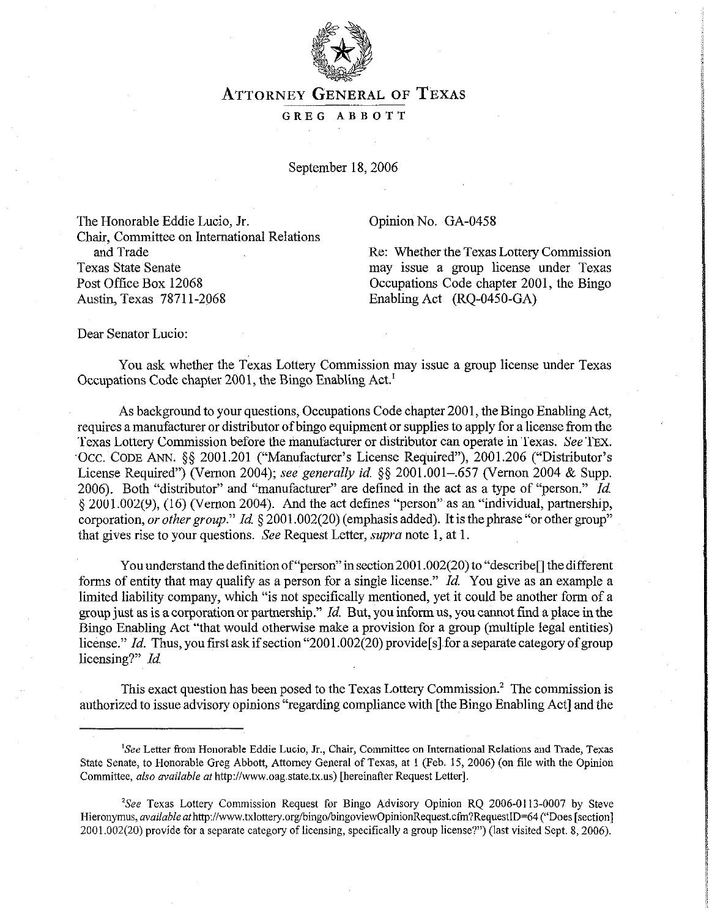

## ATTORNEY **GENERAL OF TEXAS**

## GREG ABBOTT

September 18, 2006

The Honorable Eddie Lucia, Jr. Chair, Committee on International Relations and Trade Re: Whether the Texas Lottery Commission Texas State Senate may issue a group license under Texas Post Office Box 12068 Cocupations Code chapter 2001, the Bingo Austin, Texas 78711-2068 Enabling Act (RQ-0450-GA)

Opinion No. GA-0458

Dear Senator Lucio:

You ask whether the Texas Lottery Commission may issue a group license under Texas Occupations Code chapter 2001, the Bingo Enabling Act.'

As background to your questions, Occupations Code chapter 2001, the Bingo Enabling Act, requires a manufacturer or distributor of bingo equipment or supplies to apply for a license from the Texas Lottery Commission before the manufacturer or distributor can operate in Texas. See TEX. .Occ. CODE ANN. \$5 2001.201 ("Manufacturer's License Required"), 2001.206 ("Distributor's License Required") (Vernon 2004); see *generally id. \$5* 2001.001-,657 (Vernon 2004 & Supp. 2006). Both "distributor" and "manufacturer" are defined in the act as a type of "person." *Id.*  § 2001.002(9), (16) (Vernon 2004). And the act defines "person" as an "individual, partnership, corporation, *or other group.*" *Id.* § 2001.002(20) (emphasis added). It is the phrase "or other group" that gives rise to your questions. See Request Letter, supra note 1, at 1.

You understand the definition of "person" in section 2001.002(20) to "describe<sup>[]</sup> the different forms of entity that may qualify as a person for a single license." *Id. You* give as an example a limited liability company, which "is not specifically mentioned, yet it could be another form of a group just as is a corporation or partnership." *Id.* But, you inform us, you cannot find a place in the Bingo Enabling Act "that would otherwise make a provision for a group (multiple legal entities) license." *Id.* Thus, you first ask if section "2001.002(20) provide [s] for a separate category of group licensing?" Id.

This exact question has been posed to the Texas Lottery Commission.<sup>2</sup> The commission is authorized to issue advisory opinions "regarding compliance with [the~Bingo Enabling Act] and the

<sup>&#</sup>x27;See Letter from Honorable Eddie Lucia, Jr., Chair, Committee on International Relations and Trade, Texas State Senate, to Honorable Greg Abbott, Attorney General of Texas, at 1 (Feb. 15, 2006) (on file with the Opinion Committee, also available at http://www.oag.state.tx.us) [hereinafter Request Letter].

<sup>&</sup>lt;sup>2</sup>See Texas Lottery Commission Request for Bingo Advisory Opinion RQ 2006-0113-0007 by Steve Hieronymus, *available at* http://www.txlottery.org/bingo/bingoviewOpinionRequest.cfm?RequestID=64 ("Does [section] 2001.002(20) provide for a separate category of licensing, specifically a group license?") (last visited Sept. 8,2006).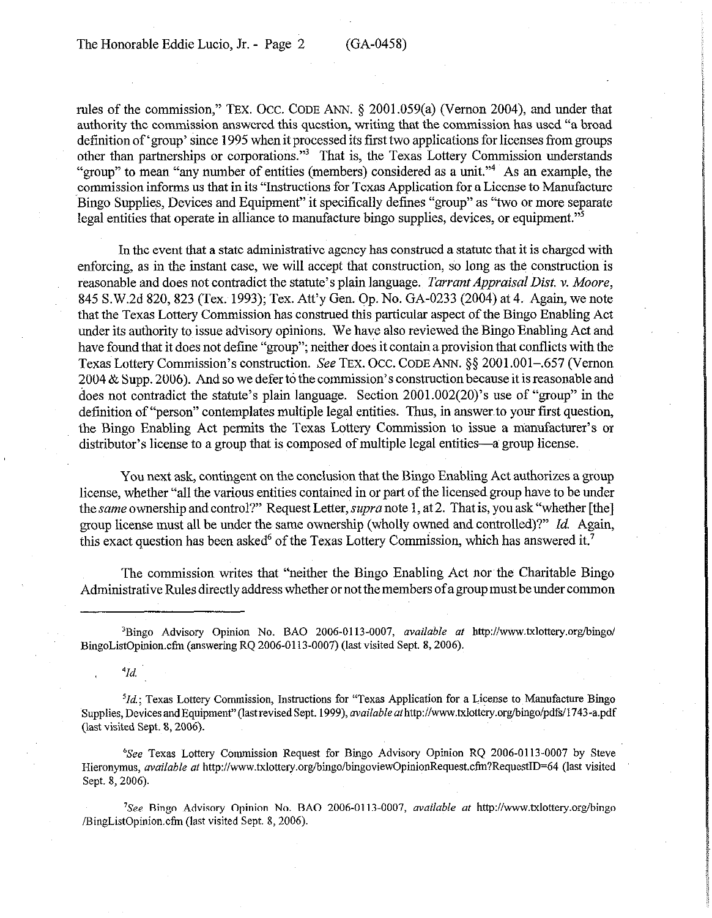rules of the commission," TEx. OCC. CODE ANN. 5 2001.059(a) (Vernon 2004), and under that authority the commission answered this question, writing that the commission has used "a broad definition of 'group' since 1995 when it processed its first two applications for licenses from groups other than partnerships or corporations."<sup>3</sup> That is, the Texas Lottery Commission understands "group" to mean "any number of entities (members) considered as a unit."4 As an example, the commission informs us that in its "Instructions for Texas Application for a License to Manufacture Bingo Supplies, Devices and Equipment" it specifically defines "group" as "two or more separate legal entities that operate in alliance to manufacture bingo supplies, devices, or equipment."5

In the event that a state administrative agency has construed a statute that it is charged with enforcing, as in the instant case, we will accept that construction, so long as the construction is reasonable and does not contradict the statute's plain language. *Tarrant Appraisal Dist. v. Moore*, 845 S.W.2d 820,823 (Tex. 1993); Tex. Att'y Gen. Qp. No. GA-0233 (2004) at 4. Again, we note that the Texas Lottery Commission has construed this particular aspect of the Bingo Enabling Act under its authority to issue advisory opinions. We have also reviewed the Bingo Enabling Act and have found that it does not define "group"; neither does it contain a provision that conflicts with the Texas Lottery Commission's construction. See TEX. OCC. CODE ANN. § \$2001.001-.657 (Vernon 2004 & Supp. 2006). And so we defer to the commission's construction because it is reasonable and does not contradict the statute's plain language. Section  $2001.002(20)$ 's use of "group" in the definition of "person" contemplates multiple legal entities. Thus, in answer to your first question, the Bingo Enabling Act permits the Texas Lottery Commission to issue a nianufacturer's or distributor's license to a group that is composed of multiple legal entities—a group license.

You next ask, contingent on the conclusion that the Bingo Enabling Act authorizes a group license, whether "all the various entities contained in or part of the licensed group have to be under the same ownership and control?' Request Letter, *supra* note 1, at 2. That is, you ask "whether [the] group license must all be under the same ownership (wholly owned and controlled)?" Id. Again, this exact question has been asked<sup>6</sup> of the Texas Lottery Commission, which has answered it.<sup>7</sup>

The commission writes that "neither the Bingo Enabling Act nor the Charitable Bingo Administrative Rules directly address whether or not the members of a group must be under common

'Bingo Advisory Opinion No. BAO 2006-0113-0007, *available af* http://www.txlottery.org/bingo/ BingoListOpinion.cfm (answering RQ 2006-0113-0007) (last visited Sept. 8, 2006).

 $^{4}Id.$ 

 ${}^{5}Id$ ; Texas Lottery Commission, Instructions for "Texas Application for a License to Manufacture Bingo Supplies, Devices and Equipment" (last revised Sept. 1999), *available at* http://www.txlottery.org/bingo/pdfs/1743-a.pdf (last visited Sept. 8,2006).

'See Texas Lottery Commission Request for Bingo Advisory Opinion RQ 2006-0113-0007 by Steve Hieronymus, *available at* http://www.txlottery.org/bingo/bingoviewOpinionRequest.cfm?RequestID=64 (last visited Sept. 8, 2006).

<sup>7</sup>See Bingo Advisory Opinion No. BAO 2006-0113-0007, available at http://www.txlottery.org/bingo /BingListOpinion.cfm (last visited Sept. 8,2006).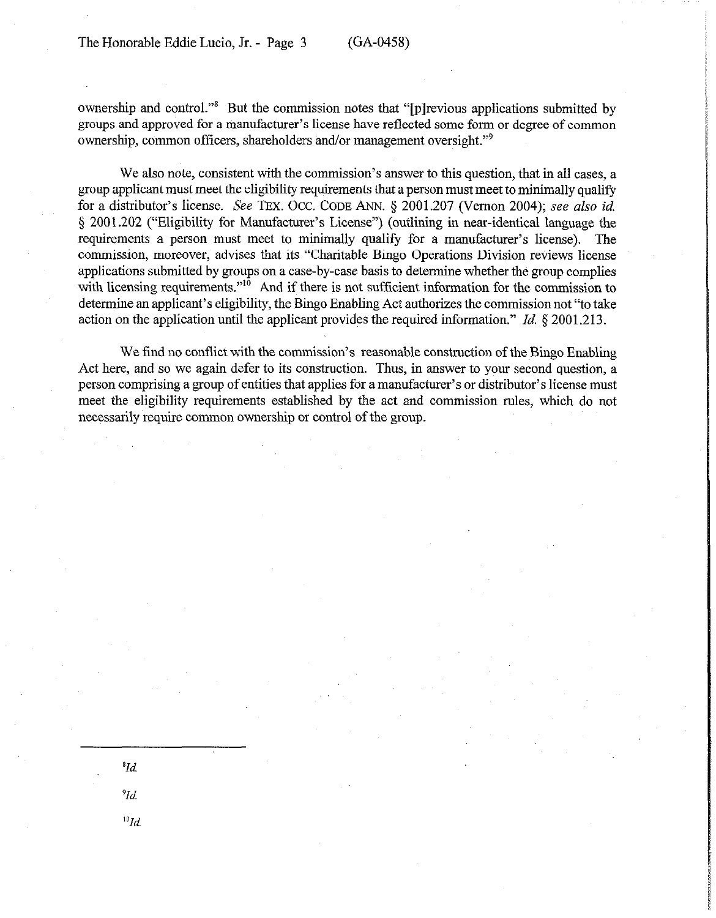*'Id.* 

*'Id.* 

 $^{10}Id.$ 

ownership and control."<sup>8</sup> But the commission notes that "[p]revious applications submitted by groups and approved for a manufacturer's license have reflected some form or degree of common ownership, common officers, shareholders and/or management oversight."<sup>9</sup>

We also note, consistent with the commission's answer to this question, that in all cases, a group applicant must meet the eligibility requirements that a person must meet to minimally qualify for a distributor's license. See TEX. OCC. CODE ANN. 5 2001.207 (Vernon 2004); see also *id.*  3 2001.202 ("Eligibility for Manufacturer's License") (outlining in near-identical language the requirements a person must meet to minimally qualify for a manufacturer's license). The commission, moreover, advises that its "Charitable Bingo Operations Division reviews license applications submitted by groups on a case-by-case basis to determine whether the group complies with licensing requirements.<sup>"10</sup> And if there is not sufficient information for the commission to determine an applicant's eligibility, the Bingo Enabling Act authorizes the commission not "to take action on the application until the applicant provides the required information." *Id. \$2001.213.* 

We find no conflict with the commission's reasonable construction of the Bingo Enabling Act here, and so we again defer to its construction. Thus, in answer to your second question, a person comprising a group of entities that applies for a manufacturer's or distributor's license must meet the eligibility requirements established by the act and commission rules, which do not necessarily require common ownership or control of the group.